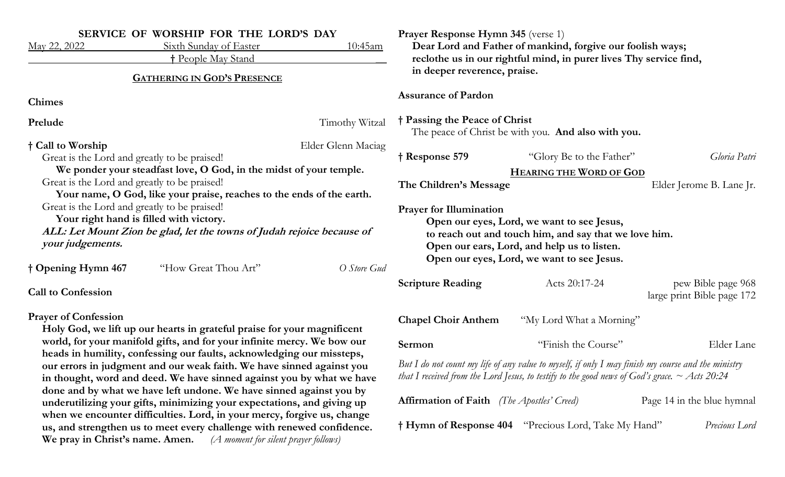| May 22, 2022                                                                                                                                                                                                                                                                                                                                                                                                                                        | SERVICE OF WORSHIP FOR THE LORD'S DAY<br>Sixth Sunday of Easter         | 10:45am                                                                              | <b>Prayer Response Hymn 345 (verse 1)</b>                                                                                                                                                                                          | Dear Lord and Father of mankind, forgive our foolish ways; |                                                  |
|-----------------------------------------------------------------------------------------------------------------------------------------------------------------------------------------------------------------------------------------------------------------------------------------------------------------------------------------------------------------------------------------------------------------------------------------------------|-------------------------------------------------------------------------|--------------------------------------------------------------------------------------|------------------------------------------------------------------------------------------------------------------------------------------------------------------------------------------------------------------------------------|------------------------------------------------------------|--------------------------------------------------|
| <b>† People May Stand</b><br><b>GATHERING IN GOD'S PRESENCE</b>                                                                                                                                                                                                                                                                                                                                                                                     |                                                                         |                                                                                      | reclothe us in our rightful mind, in purer lives Thy service find,<br>in deeper reverence, praise.                                                                                                                                 |                                                            |                                                  |
| <b>Chimes</b>                                                                                                                                                                                                                                                                                                                                                                                                                                       |                                                                         |                                                                                      | <b>Assurance of Pardon</b>                                                                                                                                                                                                         |                                                            |                                                  |
| Prelude<br>Timothy Witzal                                                                                                                                                                                                                                                                                                                                                                                                                           |                                                                         | † Passing the Peace of Christ<br>The peace of Christ be with you. And also with you. |                                                                                                                                                                                                                                    |                                                            |                                                  |
| † Call to Worship<br>Great is the Lord and greatly to be praised!                                                                                                                                                                                                                                                                                                                                                                                   |                                                                         | Elder Glenn Maciag                                                                   | † Response 579                                                                                                                                                                                                                     | "Glory Be to the Father"                                   | Gloria Patri                                     |
| We ponder your steadfast love, O God, in the midst of your temple.<br>Great is the Lord and greatly to be praised!<br>Your name, O God, like your praise, reaches to the ends of the earth.                                                                                                                                                                                                                                                         |                                                                         |                                                                                      | The Children's Message                                                                                                                                                                                                             | <b>HEARING THE WORD OF GOD</b>                             | Elder Jerome B. Lane Jr.                         |
| Great is the Lord and greatly to be praised!<br>Your right hand is filled with victory.<br>ALL: Let Mount Zion be glad, let the towns of Judah rejoice because of<br>your judgements.                                                                                                                                                                                                                                                               |                                                                         |                                                                                      | <b>Prayer for Illumination</b><br>Open our eyes, Lord, we want to see Jesus,<br>to reach out and touch him, and say that we love him.<br>Open our ears, Lord, and help us to listen.<br>Open our eyes, Lord, we want to see Jesus. |                                                            |                                                  |
| † Opening Hymn 467                                                                                                                                                                                                                                                                                                                                                                                                                                  | "How Great Thou Art"                                                    | O Store Gud                                                                          |                                                                                                                                                                                                                                    |                                                            |                                                  |
| <b>Call to Confession</b>                                                                                                                                                                                                                                                                                                                                                                                                                           |                                                                         |                                                                                      | <b>Scripture Reading</b>                                                                                                                                                                                                           | Acts 20:17-24                                              | pew Bible page 968<br>large print Bible page 172 |
| <b>Prayer of Confession</b>                                                                                                                                                                                                                                                                                                                                                                                                                         | Holy God, we lift up our hearts in grateful praise for your magnificent |                                                                                      | <b>Chapel Choir Anthem</b>                                                                                                                                                                                                         | "My Lord What a Morning"                                   |                                                  |
| world, for your manifold gifts, and for your infinite mercy. We bow our                                                                                                                                                                                                                                                                                                                                                                             |                                                                         |                                                                                      | Sermon                                                                                                                                                                                                                             | "Finish the Course"                                        | Elder Lane                                       |
| heads in humility, confessing our faults, acknowledging our missteps,<br>our errors in judgment and our weak faith. We have sinned against you<br>in thought, word and deed. We have sinned against you by what we have<br>done and by what we have left undone. We have sinned against you by<br>underutilizing your gifts, minimizing your expectations, and giving up<br>when we encounter difficulties. Lord, in your mercy, forgive us, change |                                                                         |                                                                                      | But I do not count my life of any value to myself, if only I may finish my course and the ministry<br>that I received from the Lord Jesus, to testify to the good news of God's grace. $\sim$ Acts 20:24                           |                                                            |                                                  |
|                                                                                                                                                                                                                                                                                                                                                                                                                                                     |                                                                         |                                                                                      | <b>Affirmation of Faith</b> (The Apostles' Creed)                                                                                                                                                                                  |                                                            | Page 14 in the blue hymnal                       |
|                                                                                                                                                                                                                                                                                                                                                                                                                                                     | us, and strengthen us to meet every challenge with renewed confidence.  |                                                                                      |                                                                                                                                                                                                                                    | † Hymn of Response 404 "Precious Lord, Take My Hand"       | Precious Lord                                    |

**We pray in Christ's name. Amen.** *(A moment for silent prayer follows)*